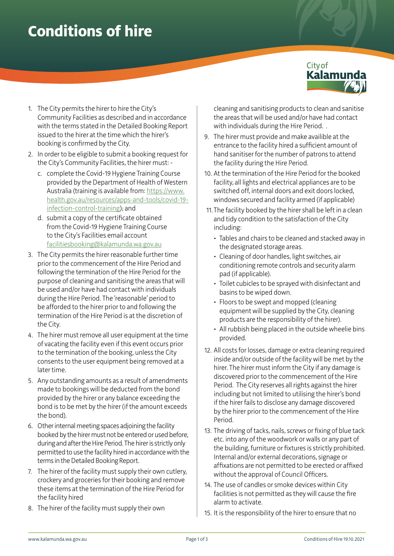## **Conditions of hire**



- 1. The City permits the hirer to hire the City's Community Facilities as described and in accordance with the terms stated in the Detailed Booking Report issued to the hirer at the time which the hirer's booking is confirmed by the City.
- 2. In order to be eligible to submit a booking request for the City's Community Facilities, the hirer must:
	- c. complete the Covid-19 Hygiene Training Course provided by the Department of Health of Western Australia (training is available from: [https://www.](https://www.health.gov.au/resources/apps-and-tools/covid-19-infection-control-training) [health.gov.au/resources/apps-and-tools/covid-19](https://www.health.gov.au/resources/apps-and-tools/covid-19-infection-control-training) [infection-control-training](https://www.health.gov.au/resources/apps-and-tools/covid-19-infection-control-training)); and
	- d. submit a copy of the certificate obtained from the Covid-19 Hygiene Training Course to the City's Facilities email account [facilitiesbooking@kalamunda.wa.gov.au](mailto:facilitiesbooking@kalamunda.wa.gov.au)
- 3. The City permits the hirer reasonable further time prior to the commencement of the Hire Period and following the termination of the Hire Period for the purpose of cleaning and sanitising the areas that will be used and/or have had contact with individuals during the Hire Period. The 'reasonable' period to be afforded to the hirer prior to and following the termination of the Hire Period is at the discretion of the City.
- 4. The hirer must remove all user equipment at the time of vacating the facility even if this event occurs prior to the termination of the booking, unless the City consents to the user equipment being removed at a later time.
- 5. Any outstanding amounts as a result of amendments made to bookings will be deducted from the bond provided by the hirer or any balance exceeding the bond is to be met by the hirer (if the amount exceeds the bond).
- 6. Other internal meeting spaces adjoining the facility booked by the hirer must not be entered or used before, during and after the Hire Period. The hirer is strictly only permitted to use the facility hired in accordance with the terms in the Detailed Booking Report.
- 7. The hirer of the facility must supply their own cutlery, crockery and groceries for their booking and remove these items at the termination of the Hire Period for the facility hired
- 8. The hirer of the facility must supply their own

cleaning and sanitising products to clean and sanitise the areas that will be used and/or have had contact with individuals during the Hire Period..

- 9. The hirer must provide and make availible at the entrance to the facility hired a sufficient amount of hand sanitiser for the number of patrons to attend the facility during the Hire Period.
- 10. At the termination of the Hire Period for the booked facility, all lights and electrical appliances are to be switched off, internal doors and exit doors locked, windows secured and facility armed (if applicable)
- 11. The facility booked by the hirer shall be left in a clean and tidy condition to the satisfaction of the City including:
	- Tables and chairs to be cleaned and stacked away in the designated storage areas.
	- Cleaning of door handles, light switches, air conditioning remote controls and security alarm pad (if applicable).
	- Toilet cubicles to be sprayed with disinfectant and basins to be wiped down.
	- Floors to be swept and mopped (cleaning equipment will be supplied by the City, cleaning products are the responsibility of the hirer).
	- All rubbish being placed in the outside wheelie bins provided.
- 12. All costs for losses, damage or extra cleaning required inside and/or outside of the facility will be met by the hirer. The hirer must inform the City if any damage is discovered prior to the commencement of the Hire Period. The City reserves all rights against the hirer including but not limited to utilising the hirer's bond if the hirer fails to disclose any damage discovered by the hirer prior to the commencement of the Hire Period.
- 13. The driving of tacks, nails, screws or fixing of blue tack etc. into any of the woodwork or walls or any part of the building, furniture or fixtures is strictly prohibited. Internal and/or external decorations, signage or affixations are not permitted to be erected or affixed without the approval of Council Officers.
- 14. The use of candles or smoke devices within City facilities is not permitted as they will cause the fire alarm to activate.
- 15. It is the responsibility of the hirer to ensure that no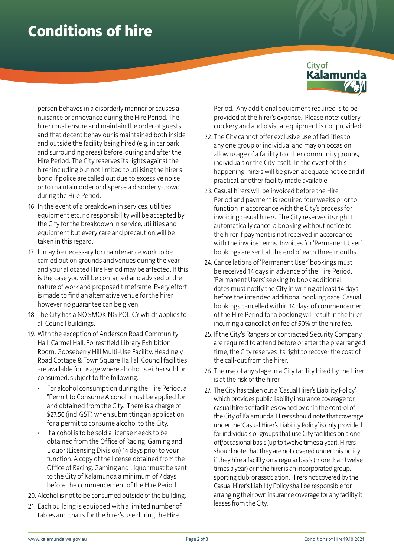## **Conditions of hire**



person behaves in a disorderly manner or causes a nuisance or annoyance during the Hire Period. The hirer must ensure and maintain the order of guests and that decent behaviour is maintained both inside and outside the facility being hired (e.g. in car park and surrounding areas) before, during and after the Hire Period. The City reserves its rights against the hirer including but not limited to utilising the hirer's bond if police are called out due to excessive noise or to maintain order or disperse a disorderly crowd during the Hire Period.

- 16. In the event of a breakdown in services, utilities, equipment etc. no responsibility will be accepted by the City for the breakdown in service, utilities and equipment but every care and precaution will be taken in this regard.
- 17. It may be necessary for maintenance work to be carried out on grounds and venues during the year and your allocated Hire Period may be affected. If this is the case you will be contacted and advised of the nature of work and proposed timeframe. Every effort is made to find an alternative venue for the hirer however no guarantee can be given.
- 18. The City has a NO SMOKING POLICY which applies to all Council buildings.
- 19. With the exception of Anderson Road Community Hall, Carmel Hall, Forrestfield Library Exhibition Room, Gooseberry Hill Multi-Use Facility, Headingly Road Cottage & Town Square Hall all Council facilities are available for usage where alcohol is either sold or consumed, subject to the following:
	- For alcohol consumption during the Hire Period, a "Permit to Consume Alcohol" must be applied for and obtained from the City. There is a charge of \$27.50 (incl GST) when submitting an application for a permit to consume alcohol to the City.
	- If alcohol is to be sold a license needs to be obtained from the Office of Racing, Gaming and Liquor (Licensing Division) 14 days prior to your function. A copy of the license obtained from the Office of Racing, Gaming and Liquor must be sent to the City of Kalamunda a minimum of 7 days before the commencement of the Hire Period.
- 20. Alcohol is not to be consumed outside of the building.
- 21. Each building is equipped with a limited number of tables and chairs for the hirer's use during the Hire

Period. Any additional equipment required is to be provided at the hirer's expense. Please note: cutlery, crockery and audio visual equipment is not provided.

- 22. The City cannot offer exclusive use of facilities to any one group or individual and may on occasion allow usage of a facility to other community groups, individuals or the City itself. In the event of this happening, hirers will be given adequate notice and if practical, another facility made available.
- 23. Casual hirers will be invoiced before the Hire Period and payment is required four weeks prior to function in accordance with the City's process for invoicing casual hirers. The City reserves its right to automatically cancel a booking without notice to the hirer if payment is not received in accordance with the invoice terms. Invoices for 'Permanent User' bookings are sent at the end of each three months.
- 24. Cancellations of 'Permanent User' bookings must be received 14 days in advance of the Hire Period. 'Permanent Users' seeking to book additional dates must notify the City in writing at least 14 days before the intended additional booking date. Casual bookings cancelled within 14 days of commencement of the Hire Period for a booking will result in the hirer incurring a cancellation fee of 50% of the hire fee.
- 25. If the City's Rangers or contracted Security Company are required to attend before or after the prearranged time, the City reserves its right to recover the cost of the call-out from the hirer.
- 26. The use of any stage in a City facility hired by the hirer is at the risk of the hirer.
- 27. The City has taken out a 'Casual Hirer's Liability Policy', which provides public liability insurance coverage for casual hirers of facilities owned by or in the control of the City of Kalamunda. Hirers should note that coverage under the 'Casual Hirer's Liability Policy' is only provided for individuals or groups that use City facilities on a oneoff/occasional basis (up to twelve times a year). Hirers should note that they are not covered under this policy if they hire a facility on a regular basis (more than twelve times a year) or if the hirer is an incorporated group, sporting club, or association. Hirers not covered by the Casual Hirer's Liability Policy shall be responsible for arranging their own insurance coverage for any facility it leases from the City.